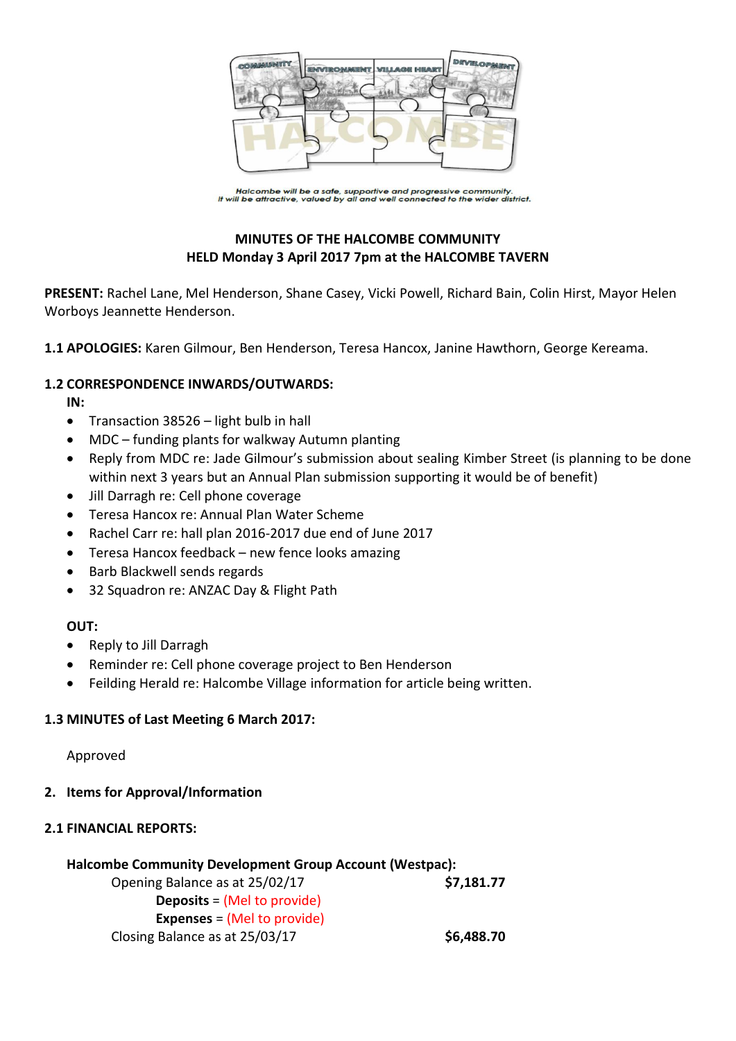

Halcombe will be a safe, supportive and progressive community.<br>It will be attractive, valued by all and well connected to the wider district.

# **MINUTES OF THE HALCOMBE COMMUNITY HELD Monday 3 April 2017 7pm at the HALCOMBE TAVERN**

**PRESENT:** Rachel Lane, Mel Henderson, Shane Casey, Vicki Powell, Richard Bain, Colin Hirst, Mayor Helen Worboys Jeannette Henderson.

**1.1 APOLOGIES:** Karen Gilmour, Ben Henderson, Teresa Hancox, Janine Hawthorn, George Kereama.

#### **1.2 CORRESPONDENCE INWARDS/OUTWARDS:**

**IN:** 

- Transaction 38526 light bulb in hall
- MDC funding plants for walkway Autumn planting
- Reply from MDC re: Jade Gilmour's submission about sealing Kimber Street (is planning to be done within next 3 years but an Annual Plan submission supporting it would be of benefit)
- Jill Darragh re: Cell phone coverage
- Teresa Hancox re: Annual Plan Water Scheme
- Rachel Carr re: hall plan 2016-2017 due end of June 2017
- Teresa Hancox feedback new fence looks amazing
- Barb Blackwell sends regards
- 32 Squadron re: ANZAC Day & Flight Path

#### **OUT:**

- Reply to Jill Darragh
- Reminder re: Cell phone coverage project to Ben Henderson
- Feilding Herald re: Halcombe Village information for article being written.

#### **1.3 MINUTES of Last Meeting 6 March 2017:**

Approved

#### **2. Items for Approval/Information**

#### **2.1 FINANCIAL REPORTS:**

| <b>Halcombe Community Development Group Account (Westpac):</b> |            |
|----------------------------------------------------------------|------------|
| Opening Balance as at 25/02/17                                 | \$7,181.77 |
| <b>Deposits = (Mel to provide)</b>                             |            |
| <b>Expenses = <math>(Melto provide)</math></b>                 |            |
| Closing Balance as at 25/03/17                                 | \$6,488.70 |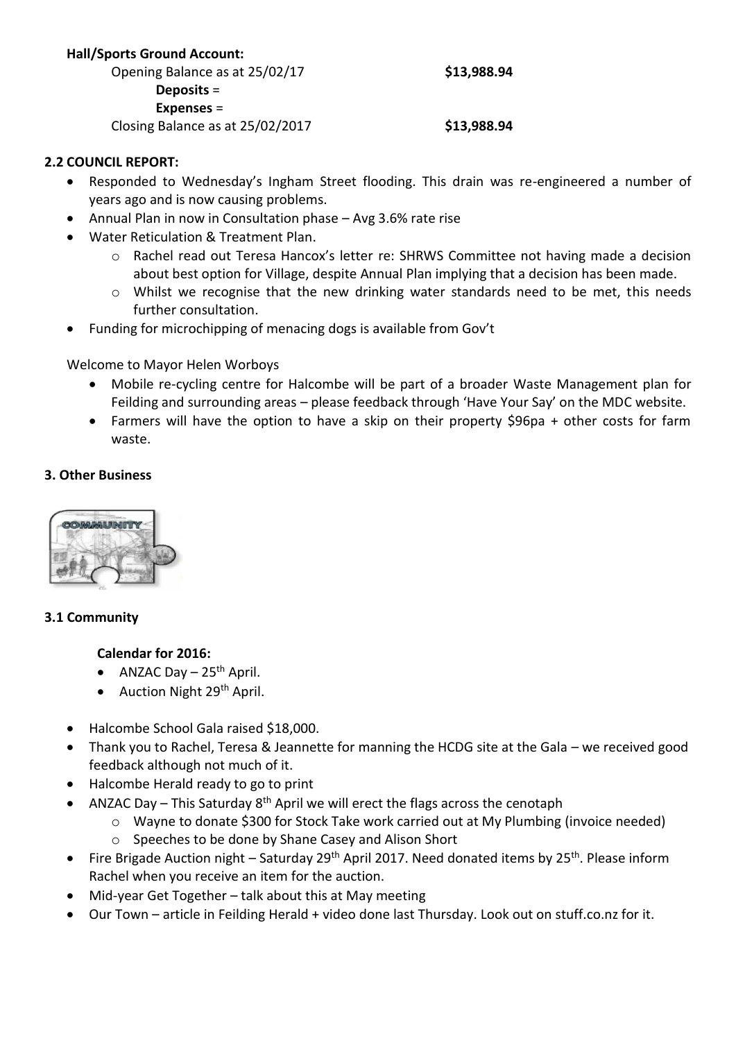| <b>Hall/Sports Ground Account:</b> |             |
|------------------------------------|-------------|
| Opening Balance as at 25/02/17     | \$13,988.94 |
| Deposits $=$                       |             |
| Expenses $=$                       |             |
| Closing Balance as at 25/02/2017   | \$13,988.94 |

## **2.2 COUNCIL REPORT:**

- Responded to Wednesday's Ingham Street flooding. This drain was re-engineered a number of years ago and is now causing problems.
- Annual Plan in now in Consultation phase Avg 3.6% rate rise
- Water Reticulation & Treatment Plan.
	- o Rachel read out Teresa Hancox's letter re: SHRWS Committee not having made a decision about best option for Village, despite Annual Plan implying that a decision has been made.
	- o Whilst we recognise that the new drinking water standards need to be met, this needs further consultation.
- Funding for microchipping of menacing dogs is available from Gov't

Welcome to Mayor Helen Worboys

- Mobile re-cycling centre for Halcombe will be part of a broader Waste Management plan for Feilding and surrounding areas – please feedback through 'Have Your Say' on the MDC website.
- Farmers will have the option to have a skip on their property \$96pa + other costs for farm waste.

## **3. Other Business**



## **3.1 Community**

## **Calendar for 2016:**

- ANZAC Day  $-25$ <sup>th</sup> April.
- Auction Night  $29<sup>th</sup>$  April.
- Halcombe School Gala raised \$18,000.
- Thank you to Rachel, Teresa & Jeannette for manning the HCDG site at the Gala we received good feedback although not much of it.
- Halcombe Herald ready to go to print
- ANZAC Day This Saturday  $8<sup>th</sup>$  April we will erect the flags across the cenotaph
	- o Wayne to donate \$300 for Stock Take work carried out at My Plumbing (invoice needed)
	- o Speeches to be done by Shane Casey and Alison Short
- Fire Brigade Auction night Saturday 29<sup>th</sup> April 2017. Need donated items by 25<sup>th</sup>. Please inform Rachel when you receive an item for the auction.
- Mid-year Get Together talk about this at May meeting
- Our Town article in Feilding Herald + video done last Thursday. Look out on stuff.co.nz for it.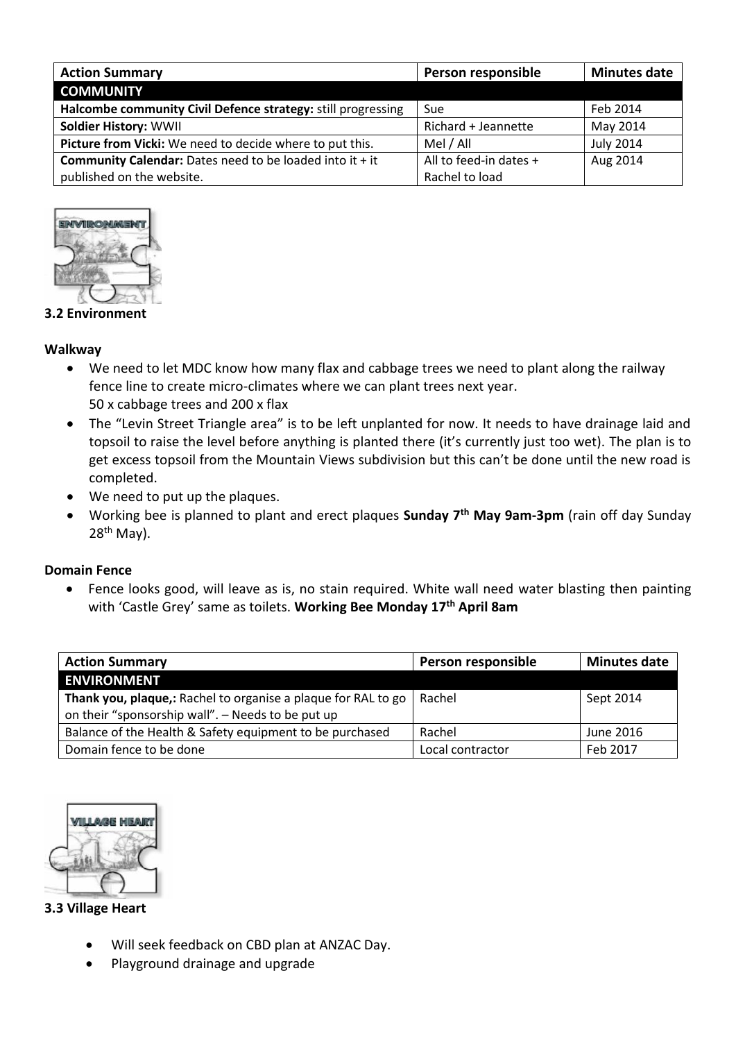| <b>Action Summary</b>                                             | Person responsible     | <b>Minutes date</b> |
|-------------------------------------------------------------------|------------------------|---------------------|
| <b>COMMUNITY</b>                                                  |                        |                     |
| Halcombe community Civil Defence strategy: still progressing      | Sue                    | Feb 2014            |
| <b>Soldier History: WWII</b>                                      | Richard + Jeannette    | May 2014            |
| Picture from Vicki: We need to decide where to put this.          | Mel / All              | <b>July 2014</b>    |
| <b>Community Calendar:</b> Dates need to be loaded into it $+$ it | All to feed-in dates + | Aug 2014            |
| published on the website.                                         | Rachel to load         |                     |



#### **3.2 Environment**

## **Walkway**

- We need to let MDC know how many flax and cabbage trees we need to plant along the railway fence line to create micro-climates where we can plant trees next year. 50 x cabbage trees and 200 x flax
- The "Levin Street Triangle area" is to be left unplanted for now. It needs to have drainage laid and topsoil to raise the level before anything is planted there (it's currently just too wet). The plan is to get excess topsoil from the Mountain Views subdivision but this can't be done until the new road is completed.
- We need to put up the plaques.
- Working bee is planned to plant and erect plaques **Sunday 7th May 9am-3pm** (rain off day Sunday  $28<sup>th</sup>$  May).

## **Domain Fence**

 Fence looks good, will leave as is, no stain required. White wall need water blasting then painting with 'Castle Grey' same as toilets. **Working Bee Monday 17th April 8am**

| <b>Action Summary</b>                                         | Person responsible | <b>Minutes date</b> |
|---------------------------------------------------------------|--------------------|---------------------|
| <b>ENVIRONMENT</b>                                            |                    |                     |
| Thank you, plaque,: Rachel to organise a plaque for RAL to go | Rachel             | Sept 2014           |
| on their "sponsorship wall". - Needs to be put up             |                    |                     |
| Balance of the Health & Safety equipment to be purchased      | Rachel             | June 2016           |
| Domain fence to be done                                       | Local contractor   | Feb 2017            |



**3.3 Village Heart**

- Will seek feedback on CBD plan at ANZAC Day.
- Playground drainage and upgrade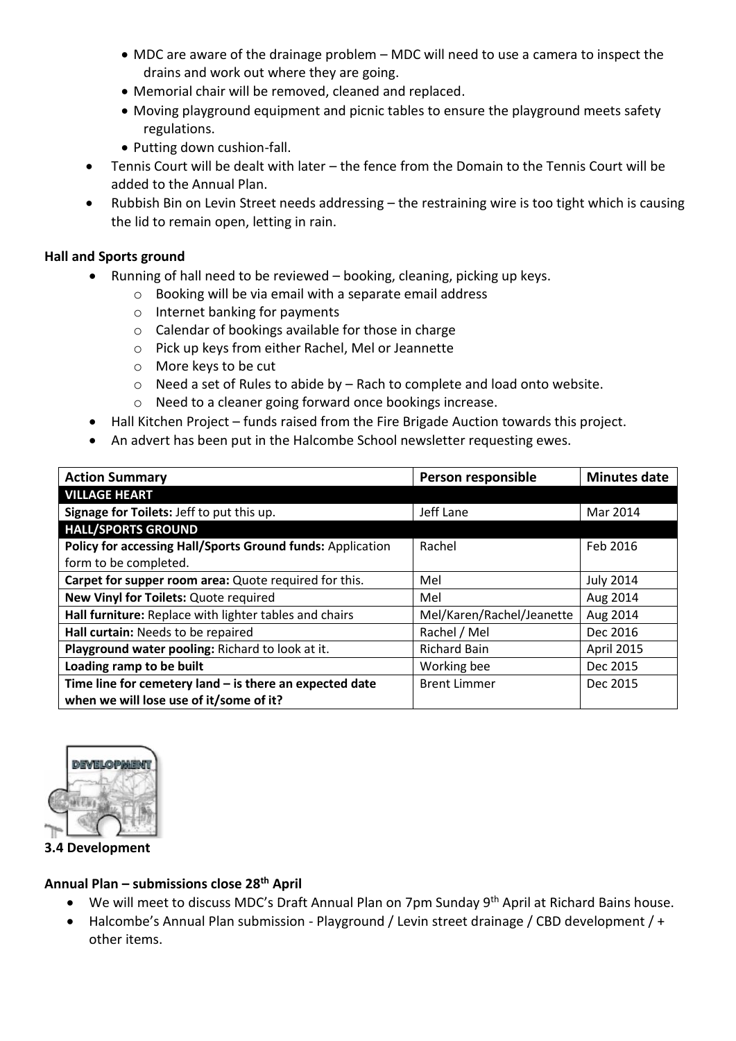- MDC are aware of the drainage problem MDC will need to use a camera to inspect the drains and work out where they are going.
- Memorial chair will be removed, cleaned and replaced.
- Moving playground equipment and picnic tables to ensure the playground meets safety regulations.
- Putting down cushion-fall.
- Tennis Court will be dealt with later the fence from the Domain to the Tennis Court will be added to the Annual Plan.
- Rubbish Bin on Levin Street needs addressing the restraining wire is too tight which is causing the lid to remain open, letting in rain.

### **Hall and Sports ground**

- Running of hall need to be reviewed booking, cleaning, picking up keys.
	- o Booking will be via email with a separate email address
	- o Internet banking for payments
	- o Calendar of bookings available for those in charge
	- o Pick up keys from either Rachel, Mel or Jeannette
	- o More keys to be cut
	- o Need a set of Rules to abide by Rach to complete and load onto website.
	- o Need to a cleaner going forward once bookings increase.
- Hall Kitchen Project funds raised from the Fire Brigade Auction towards this project.
- An advert has been put in the Halcombe School newsletter requesting ewes.

| <b>Action Summary</b>                                      | Person responsible        | <b>Minutes date</b> |
|------------------------------------------------------------|---------------------------|---------------------|
| <b>VILLAGE HEART</b>                                       |                           |                     |
| Signage for Toilets: Jeff to put this up.                  | Jeff Lane                 | Mar 2014            |
| <b>HALL/SPORTS GROUND</b>                                  |                           |                     |
| Policy for accessing Hall/Sports Ground funds: Application | Rachel                    | Feb 2016            |
| form to be completed.                                      |                           |                     |
| Carpet for supper room area: Quote required for this.      | Mel                       | <b>July 2014</b>    |
| New Vinyl for Toilets: Quote required                      | Mel                       | Aug 2014            |
| Hall furniture: Replace with lighter tables and chairs     | Mel/Karen/Rachel/Jeanette | Aug 2014            |
| Hall curtain: Needs to be repaired                         | Rachel / Mel              | Dec 2016            |
| Playground water pooling: Richard to look at it.           | <b>Richard Bain</b>       | April 2015          |
| Loading ramp to be built                                   | Working bee               | Dec 2015            |
| Time line for cemetery land $-$ is there an expected date  | <b>Brent Limmer</b>       | Dec 2015            |
| when we will lose use of it/some of it?                    |                           |                     |



#### **3.4 Development**

## **Annual Plan – submissions close 28th April**

- We will meet to discuss MDC's Draft Annual Plan on 7pm Sunday 9th April at Richard Bains house.
- Halcombe's Annual Plan submission Playground / Levin street drainage / CBD development / + other items.